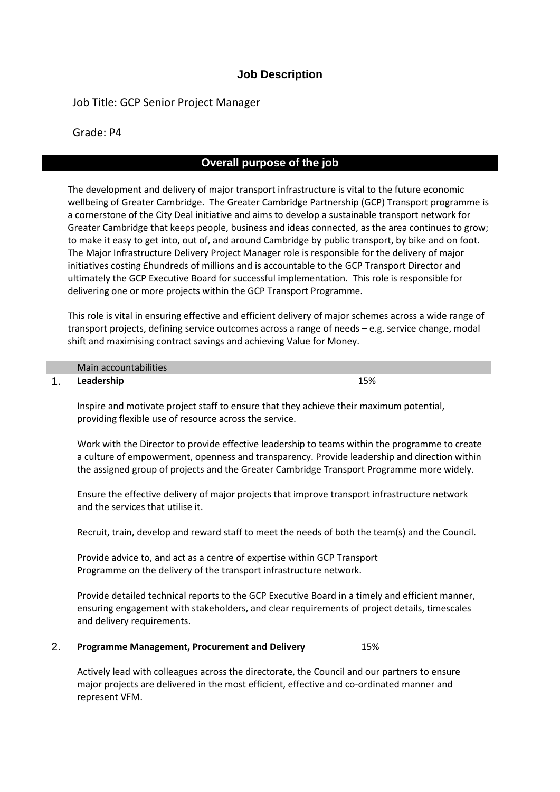## **Job Description**

Job Title: GCP Senior Project Manager

Grade: P4

## **Overall purpose of the job**

The development and delivery of major transport infrastructure is vital to the future economic wellbeing of Greater Cambridge. The Greater Cambridge Partnership (GCP) Transport programme is a cornerstone of the City Deal initiative and aims to develop a sustainable transport network for Greater Cambridge that keeps people, business and ideas connected, as the area continues to grow; to make it easy to get into, out of, and around Cambridge by public transport, by bike and on foot. The Major Infrastructure Delivery Project Manager role is responsible for the delivery of major initiatives costing £hundreds of millions and is accountable to the GCP Transport Director and ultimately the GCP Executive Board for successful implementation. This role is responsible for delivering one or more projects within the GCP Transport Programme.

This role is vital in ensuring effective and efficient delivery of major schemes across a wide range of transport projects, defining service outcomes across a range of needs – e.g. service change, modal shift and maximising contract savings and achieving Value for Money.

|    | Main accountabilities                                                                                                                                                                                                                                                                       |  |  |  |  |  |
|----|---------------------------------------------------------------------------------------------------------------------------------------------------------------------------------------------------------------------------------------------------------------------------------------------|--|--|--|--|--|
| 1. | Leadership<br>15%                                                                                                                                                                                                                                                                           |  |  |  |  |  |
|    | Inspire and motivate project staff to ensure that they achieve their maximum potential,<br>providing flexible use of resource across the service.                                                                                                                                           |  |  |  |  |  |
|    | Work with the Director to provide effective leadership to teams within the programme to create<br>a culture of empowerment, openness and transparency. Provide leadership and direction within<br>the assigned group of projects and the Greater Cambridge Transport Programme more widely. |  |  |  |  |  |
|    | Ensure the effective delivery of major projects that improve transport infrastructure network<br>and the services that utilise it.                                                                                                                                                          |  |  |  |  |  |
|    | Recruit, train, develop and reward staff to meet the needs of both the team(s) and the Council.                                                                                                                                                                                             |  |  |  |  |  |
|    | Provide advice to, and act as a centre of expertise within GCP Transport<br>Programme on the delivery of the transport infrastructure network.                                                                                                                                              |  |  |  |  |  |
|    | Provide detailed technical reports to the GCP Executive Board in a timely and efficient manner,<br>ensuring engagement with stakeholders, and clear requirements of project details, timescales<br>and delivery requirements.                                                               |  |  |  |  |  |
| 2. | <b>Programme Management, Procurement and Delivery</b><br>15%                                                                                                                                                                                                                                |  |  |  |  |  |
|    | Actively lead with colleagues across the directorate, the Council and our partners to ensure<br>major projects are delivered in the most efficient, effective and co-ordinated manner and<br>represent VFM.                                                                                 |  |  |  |  |  |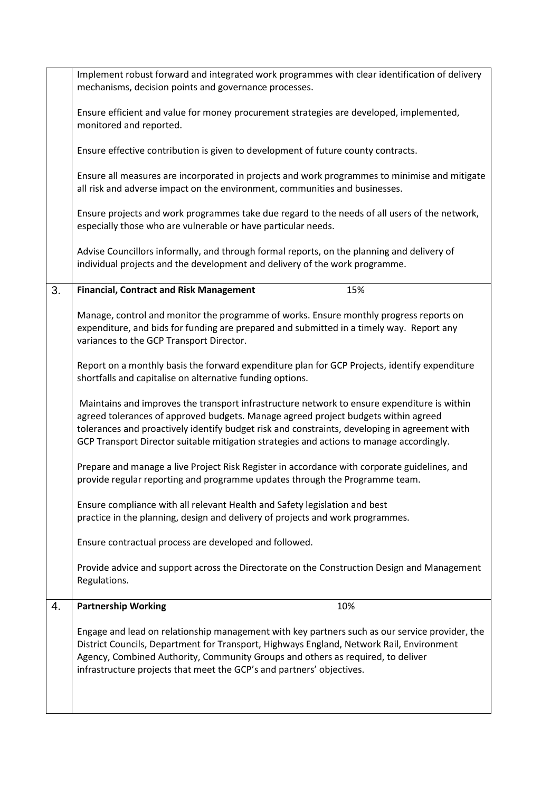|    | Implement robust forward and integrated work programmes with clear identification of delivery                                                                                                                                                                                                                                                          |  |  |  |  |  |  |
|----|--------------------------------------------------------------------------------------------------------------------------------------------------------------------------------------------------------------------------------------------------------------------------------------------------------------------------------------------------------|--|--|--|--|--|--|
|    | mechanisms, decision points and governance processes.                                                                                                                                                                                                                                                                                                  |  |  |  |  |  |  |
|    | Ensure efficient and value for money procurement strategies are developed, implemented,                                                                                                                                                                                                                                                                |  |  |  |  |  |  |
|    | monitored and reported.                                                                                                                                                                                                                                                                                                                                |  |  |  |  |  |  |
|    |                                                                                                                                                                                                                                                                                                                                                        |  |  |  |  |  |  |
|    | Ensure effective contribution is given to development of future county contracts.<br>Ensure all measures are incorporated in projects and work programmes to minimise and mitigate<br>all risk and adverse impact on the environment, communities and businesses.                                                                                      |  |  |  |  |  |  |
|    |                                                                                                                                                                                                                                                                                                                                                        |  |  |  |  |  |  |
|    | Ensure projects and work programmes take due regard to the needs of all users of the network,<br>especially those who are vulnerable or have particular needs.                                                                                                                                                                                         |  |  |  |  |  |  |
|    | Advise Councillors informally, and through formal reports, on the planning and delivery of<br>individual projects and the development and delivery of the work programme.                                                                                                                                                                              |  |  |  |  |  |  |
| 3. | 15%<br><b>Financial, Contract and Risk Management</b>                                                                                                                                                                                                                                                                                                  |  |  |  |  |  |  |
|    |                                                                                                                                                                                                                                                                                                                                                        |  |  |  |  |  |  |
|    | Manage, control and monitor the programme of works. Ensure monthly progress reports on                                                                                                                                                                                                                                                                 |  |  |  |  |  |  |
|    | expenditure, and bids for funding are prepared and submitted in a timely way. Report any<br>variances to the GCP Transport Director.                                                                                                                                                                                                                   |  |  |  |  |  |  |
|    |                                                                                                                                                                                                                                                                                                                                                        |  |  |  |  |  |  |
|    | Report on a monthly basis the forward expenditure plan for GCP Projects, identify expenditure<br>shortfalls and capitalise on alternative funding options.                                                                                                                                                                                             |  |  |  |  |  |  |
|    | Maintains and improves the transport infrastructure network to ensure expenditure is within                                                                                                                                                                                                                                                            |  |  |  |  |  |  |
|    | agreed tolerances of approved budgets. Manage agreed project budgets within agreed                                                                                                                                                                                                                                                                     |  |  |  |  |  |  |
|    | tolerances and proactively identify budget risk and constraints, developing in agreement with                                                                                                                                                                                                                                                          |  |  |  |  |  |  |
|    | GCP Transport Director suitable mitigation strategies and actions to manage accordingly.                                                                                                                                                                                                                                                               |  |  |  |  |  |  |
|    | Prepare and manage a live Project Risk Register in accordance with corporate guidelines, and                                                                                                                                                                                                                                                           |  |  |  |  |  |  |
|    | provide regular reporting and programme updates through the Programme team.                                                                                                                                                                                                                                                                            |  |  |  |  |  |  |
|    |                                                                                                                                                                                                                                                                                                                                                        |  |  |  |  |  |  |
|    | Ensure compliance with all relevant Health and Safety legislation and best                                                                                                                                                                                                                                                                             |  |  |  |  |  |  |
|    | practice in the planning, design and delivery of projects and work programmes.                                                                                                                                                                                                                                                                         |  |  |  |  |  |  |
|    | Ensure contractual process are developed and followed.                                                                                                                                                                                                                                                                                                 |  |  |  |  |  |  |
|    | Provide advice and support across the Directorate on the Construction Design and Management<br>Regulations.                                                                                                                                                                                                                                            |  |  |  |  |  |  |
| 4. | <b>Partnership Working</b><br>10%                                                                                                                                                                                                                                                                                                                      |  |  |  |  |  |  |
|    | Engage and lead on relationship management with key partners such as our service provider, the<br>District Councils, Department for Transport, Highways England, Network Rail, Environment<br>Agency, Combined Authority, Community Groups and others as required, to deliver<br>infrastructure projects that meet the GCP's and partners' objectives. |  |  |  |  |  |  |
|    |                                                                                                                                                                                                                                                                                                                                                        |  |  |  |  |  |  |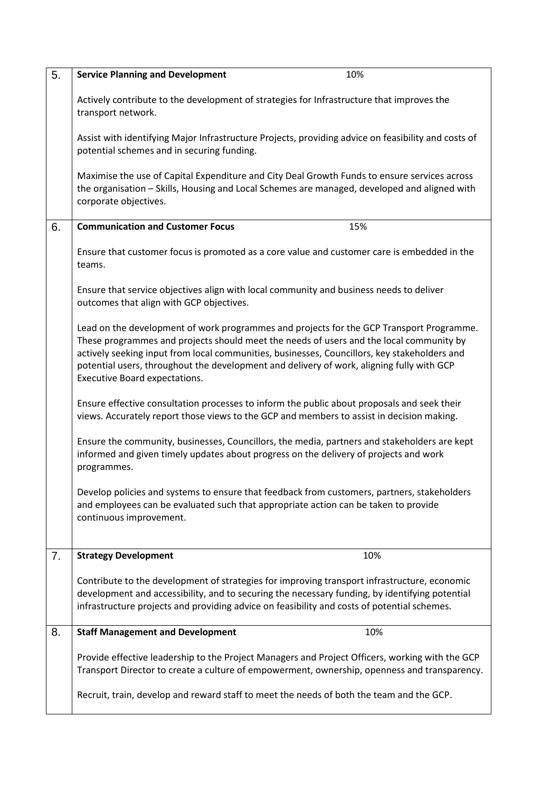| 5. | <b>Service Planning and Development</b><br>10%                                                                                                                                                                                                                                                                                                                                                                    |  |  |  |  |  |  |
|----|-------------------------------------------------------------------------------------------------------------------------------------------------------------------------------------------------------------------------------------------------------------------------------------------------------------------------------------------------------------------------------------------------------------------|--|--|--|--|--|--|
|    | Actively contribute to the development of strategies for Infrastructure that improves the<br>transport network.                                                                                                                                                                                                                                                                                                   |  |  |  |  |  |  |
|    | Assist with identifying Major Infrastructure Projects, providing advice on feasibility and costs of<br>potential schemes and in securing funding.                                                                                                                                                                                                                                                                 |  |  |  |  |  |  |
|    | Maximise the use of Capital Expenditure and City Deal Growth Funds to ensure services across<br>the organisation - Skills, Housing and Local Schemes are managed, developed and aligned with<br>corporate objectives.                                                                                                                                                                                             |  |  |  |  |  |  |
| 6. | <b>Communication and Customer Focus</b><br>15%                                                                                                                                                                                                                                                                                                                                                                    |  |  |  |  |  |  |
|    | Ensure that customer focus is promoted as a core value and customer care is embedded in the<br>teams.                                                                                                                                                                                                                                                                                                             |  |  |  |  |  |  |
|    | Ensure that service objectives align with local community and business needs to deliver<br>outcomes that align with GCP objectives.                                                                                                                                                                                                                                                                               |  |  |  |  |  |  |
|    | Lead on the development of work programmes and projects for the GCP Transport Programme.<br>These programmes and projects should meet the needs of users and the local community by<br>actively seeking input from local communities, businesses, Councillors, key stakeholders and<br>potential users, throughout the development and delivery of work, aligning fully with GCP<br>Executive Board expectations. |  |  |  |  |  |  |
|    | Ensure effective consultation processes to inform the public about proposals and seek their<br>views. Accurately report those views to the GCP and members to assist in decision making.                                                                                                                                                                                                                          |  |  |  |  |  |  |
|    | Ensure the community, businesses, Councillors, the media, partners and stakeholders are kept<br>informed and given timely updates about progress on the delivery of projects and work<br>programmes.                                                                                                                                                                                                              |  |  |  |  |  |  |
|    | Develop policies and systems to ensure that feedback from customers, partners, stakeholders<br>and employees can be evaluated such that appropriate action can be taken to provide<br>continuous improvement.                                                                                                                                                                                                     |  |  |  |  |  |  |
| 7. | 10%<br><b>Strategy Development</b>                                                                                                                                                                                                                                                                                                                                                                                |  |  |  |  |  |  |
|    | Contribute to the development of strategies for improving transport infrastructure, economic<br>development and accessibility, and to securing the necessary funding, by identifying potential<br>infrastructure projects and providing advice on feasibility and costs of potential schemes.                                                                                                                     |  |  |  |  |  |  |
| 8. | <b>Staff Management and Development</b><br>10%                                                                                                                                                                                                                                                                                                                                                                    |  |  |  |  |  |  |
|    | Provide effective leadership to the Project Managers and Project Officers, working with the GCP<br>Transport Director to create a culture of empowerment, ownership, openness and transparency.                                                                                                                                                                                                                   |  |  |  |  |  |  |
|    | Recruit, train, develop and reward staff to meet the needs of both the team and the GCP.                                                                                                                                                                                                                                                                                                                          |  |  |  |  |  |  |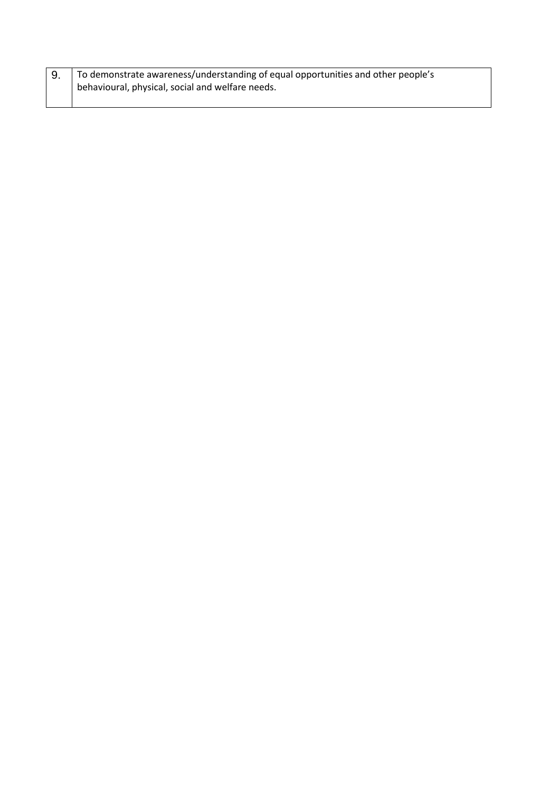| To demonstrate awareness/understanding of equal opportunities and other people's |  |
|----------------------------------------------------------------------------------|--|
| behavioural, physical, social and welfare needs.                                 |  |
|                                                                                  |  |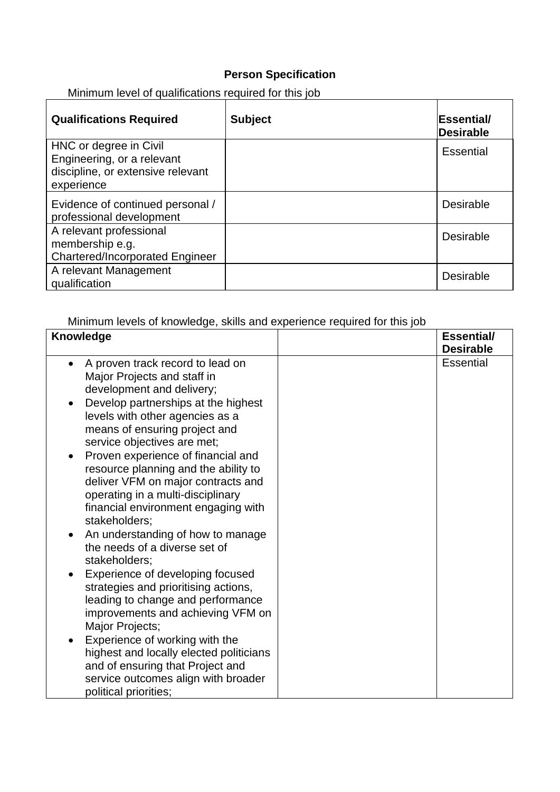## **Person Specification**

Minimum level of qualifications required for this job

| <b>Qualifications Required</b>         | <b>Subject</b> | <b>Essential/</b><br>Desirable |
|----------------------------------------|----------------|--------------------------------|
| HNC or degree in Civil                 |                | Essential                      |
| Engineering, or a relevant             |                |                                |
| discipline, or extensive relevant      |                |                                |
| experience                             |                |                                |
| Evidence of continued personal /       |                | <b>Desirable</b>               |
| professional development               |                |                                |
| A relevant professional                |                | <b>Desirable</b>               |
| membership e.g.                        |                |                                |
| <b>Chartered/Incorporated Engineer</b> |                |                                |
| A relevant Management                  |                | Desirable                      |
| qualification                          |                |                                |

Minimum levels of knowledge, skills and experience required for this job

| <b>Knowledge</b>                                                                                                                                                                                                                                                                                                                                                                                                                                                                                                                                                                                                                                                                                                                                                                                                                                                                                                                                | <b>Essential/</b> |
|-------------------------------------------------------------------------------------------------------------------------------------------------------------------------------------------------------------------------------------------------------------------------------------------------------------------------------------------------------------------------------------------------------------------------------------------------------------------------------------------------------------------------------------------------------------------------------------------------------------------------------------------------------------------------------------------------------------------------------------------------------------------------------------------------------------------------------------------------------------------------------------------------------------------------------------------------|-------------------|
|                                                                                                                                                                                                                                                                                                                                                                                                                                                                                                                                                                                                                                                                                                                                                                                                                                                                                                                                                 | <b>Desirable</b>  |
| A proven track record to lead on<br>$\bullet$<br>Major Projects and staff in<br>development and delivery;<br>Develop partnerships at the highest<br>$\bullet$<br>levels with other agencies as a<br>means of ensuring project and<br>service objectives are met;<br>Proven experience of financial and<br>resource planning and the ability to<br>deliver VFM on major contracts and<br>operating in a multi-disciplinary<br>financial environment engaging with<br>stakeholders:<br>An understanding of how to manage<br>$\bullet$<br>the needs of a diverse set of<br>stakeholders:<br>Experience of developing focused<br>strategies and prioritising actions,<br>leading to change and performance<br>improvements and achieving VFM on<br>Major Projects;<br>Experience of working with the<br>highest and locally elected politicians<br>and of ensuring that Project and<br>service outcomes align with broader<br>political priorities; | <b>Essential</b>  |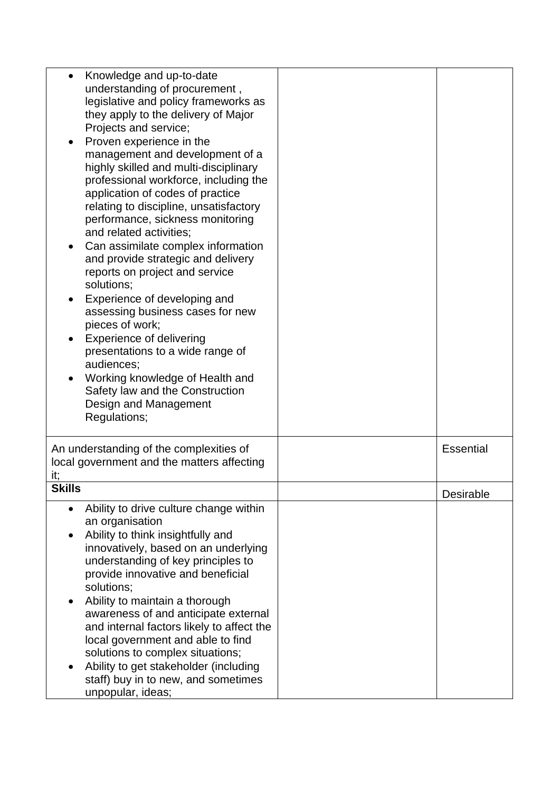| Knowledge and up-to-date<br>$\bullet$<br>understanding of procurement,<br>legislative and policy frameworks as<br>they apply to the delivery of Major<br>Projects and service;<br>Proven experience in the<br>management and development of a<br>highly skilled and multi-disciplinary<br>professional workforce, including the<br>application of codes of practice<br>relating to discipline, unsatisfactory<br>performance, sickness monitoring<br>and related activities;<br>Can assimilate complex information<br>and provide strategic and delivery<br>reports on project and service<br>solutions;<br>Experience of developing and<br>$\bullet$<br>assessing business cases for new<br>pieces of work;<br><b>Experience of delivering</b><br>presentations to a wide range of<br>audiences;<br>Working knowledge of Health and<br>Safety law and the Construction<br>Design and Management<br>Regulations; |                  |
|------------------------------------------------------------------------------------------------------------------------------------------------------------------------------------------------------------------------------------------------------------------------------------------------------------------------------------------------------------------------------------------------------------------------------------------------------------------------------------------------------------------------------------------------------------------------------------------------------------------------------------------------------------------------------------------------------------------------------------------------------------------------------------------------------------------------------------------------------------------------------------------------------------------|------------------|
| An understanding of the complexities of<br>local government and the matters affecting<br>it,                                                                                                                                                                                                                                                                                                                                                                                                                                                                                                                                                                                                                                                                                                                                                                                                                     | <b>Essential</b> |
| <b>Skills</b>                                                                                                                                                                                                                                                                                                                                                                                                                                                                                                                                                                                                                                                                                                                                                                                                                                                                                                    | Desirable        |
| Ability to drive culture change within<br>$\bullet$<br>an organisation<br>Ability to think insightfully and<br>innovatively, based on an underlying<br>understanding of key principles to<br>provide innovative and beneficial<br>solutions;<br>Ability to maintain a thorough<br>$\bullet$<br>awareness of and anticipate external<br>and internal factors likely to affect the<br>local government and able to find<br>solutions to complex situations;<br>Ability to get stakeholder (including<br>staff) buy in to new, and sometimes<br>unpopular, ideas;                                                                                                                                                                                                                                                                                                                                                   |                  |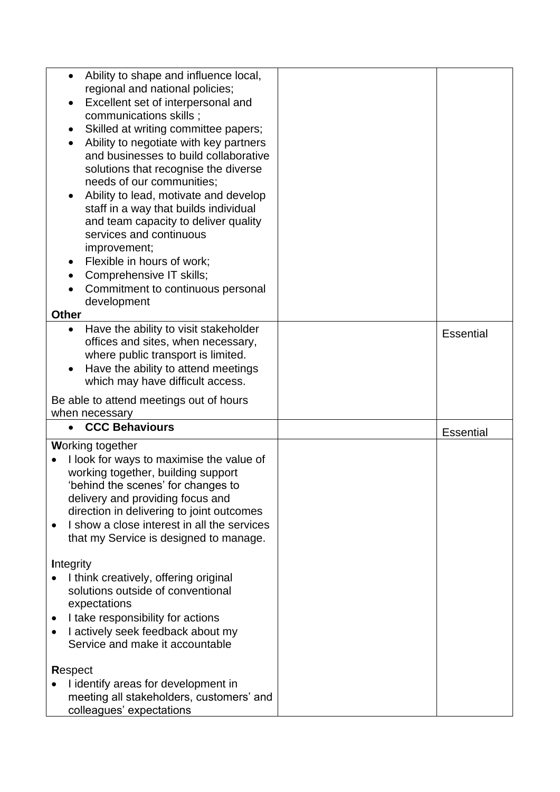| Ability to shape and influence local,<br>$\bullet$                            |                  |
|-------------------------------------------------------------------------------|------------------|
| regional and national policies;                                               |                  |
| Excellent set of interpersonal and                                            |                  |
| communications skills;                                                        |                  |
| Skilled at writing committee papers;                                          |                  |
| Ability to negotiate with key partners<br>٠                                   |                  |
| and businesses to build collaborative                                         |                  |
| solutions that recognise the diverse                                          |                  |
| needs of our communities;                                                     |                  |
| Ability to lead, motivate and develop<br>٠                                    |                  |
| staff in a way that builds individual<br>and team capacity to deliver quality |                  |
| services and continuous                                                       |                  |
| improvement;                                                                  |                  |
| Flexible in hours of work;                                                    |                  |
| Comprehensive IT skills;                                                      |                  |
| Commitment to continuous personal                                             |                  |
| development                                                                   |                  |
| <b>Other</b>                                                                  |                  |
| Have the ability to visit stakeholder<br>٠                                    | <b>Essential</b> |
| offices and sites, when necessary,                                            |                  |
| where public transport is limited.                                            |                  |
| Have the ability to attend meetings<br>٠                                      |                  |
| which may have difficult access.                                              |                  |
|                                                                               |                  |
|                                                                               |                  |
| Be able to attend meetings out of hours<br>when necessary                     |                  |
| <b>CCC Behaviours</b>                                                         | <b>Essential</b> |
| <b>Working together</b>                                                       |                  |
| I look for ways to maximise the value of                                      |                  |
| working together, building support                                            |                  |
| 'behind the scenes' for changes to                                            |                  |
| delivery and providing focus and                                              |                  |
| direction in delivering to joint outcomes                                     |                  |
| I show a close interest in all the services                                   |                  |
| that my Service is designed to manage.                                        |                  |
|                                                                               |                  |
| <b>Integrity</b>                                                              |                  |
| I think creatively, offering original                                         |                  |
| solutions outside of conventional                                             |                  |
| expectations                                                                  |                  |
| I take responsibility for actions                                             |                  |
| I actively seek feedback about my<br>Service and make it accountable          |                  |
|                                                                               |                  |
| Respect                                                                       |                  |
| I identify areas for development in                                           |                  |
| meeting all stakeholders, customers' and<br>colleagues' expectations          |                  |